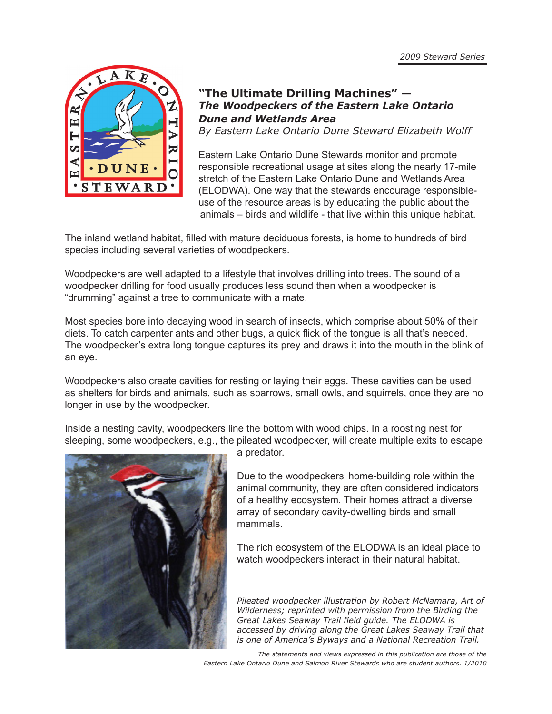

## **"The Ultimate Drilling Machines" —** *The Woodpeckers of the Eastern Lake Ontario Dune and Wetlands Area*

*By Eastern Lake Ontario Dune Steward Elizabeth Wolff*

Eastern Lake Ontario Dune Stewards monitor and promote responsible recreational usage at sites along the nearly 17-mile stretch of the Eastern Lake Ontario Dune and Wetlands Area (ELODWA). One way that the stewards encourage responsibleuse of the resource areas is by educating the public about the animals – birds and wildlife - that live within this unique habitat.

The inland wetland habitat, filled with mature deciduous forests, is home to hundreds of bird species including several varieties of woodpeckers.

Woodpeckers are well adapted to a lifestyle that involves drilling into trees. The sound of a woodpecker drilling for food usually produces less sound then when a woodpecker is "drumming" against a tree to communicate with a mate.

Most species bore into decaying wood in search of insects, which comprise about 50% of their diets. To catch carpenter ants and other bugs, a quick flick of the tongue is all that's needed. The woodpecker's extra long tongue captures its prey and draws it into the mouth in the blink of an eye.

Woodpeckers also create cavities for resting or laying their eggs. These cavities can be used as shelters for birds and animals, such as sparrows, small owls, and squirrels, once they are no longer in use by the woodpecker.

Inside a nesting cavity, woodpeckers line the bottom with wood chips. In a roosting nest for sleeping, some woodpeckers, e.g., the pileated woodpecker, will create multiple exits to escape



a predator.

Due to the woodpeckers' home-building role within the animal community, they are often considered indicators of a healthy ecosystem. Their homes attract a diverse array of secondary cavity-dwelling birds and small mammals.

The rich ecosystem of the ELODWA is an ideal place to watch woodpeckers interact in their natural habitat.

*Pileated woodpecker illustration by Robert McNamara, Art of Wilderness; reprinted with permission from the Birding the Great Lakes Seaway Trail field guide. The ELODWA is accessed by driving along the Great Lakes Seaway Trail that is one of America's Byways and a National Recreation Trail.*

*The statements and views expressed in this publication are those of the Eastern Lake Ontario Dune and Salmon River Stewards who are student authors. 1/2010*